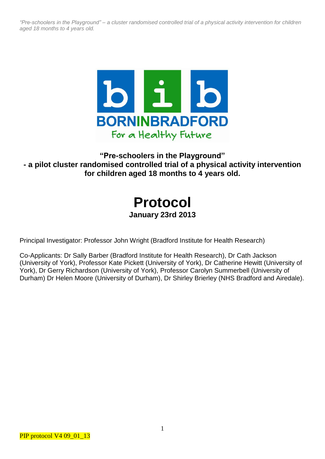

# **"Pre-schoolers in the Playground" - a pilot cluster randomised controlled trial of a physical activity intervention for children aged 18 months to 4 years old.**

# **Protocol January 23rd 2013**

Principal Investigator: Professor John Wright (Bradford Institute for Health Research)

Co-Applicants: Dr Sally Barber (Bradford Institute for Health Research), Dr Cath Jackson (University of York), Professor Kate Pickett (University of York), Dr Catherine Hewitt (University of York), Dr Gerry Richardson (University of York), Professor Carolyn Summerbell (University of Durham) Dr Helen Moore (University of Durham), Dr Shirley Brierley (NHS Bradford and Airedale).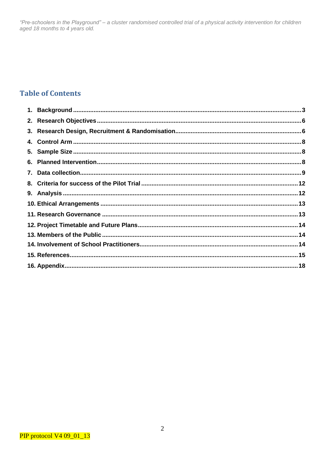# **Table of Contents**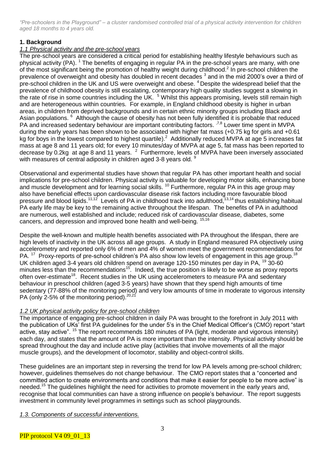# **1. Background**

# *1.1 Physical activity and the pre-school years*

The pre-school years are considered a critical period for establishing healthy lifestyle behaviours such as physical activity (PA). <sup>1</sup> The benefits of engaging in regular PA in the pre-school years are many, with one of the most significant being the promotion of healthy weight during childhood.<sup>2</sup> In pre-school children the prevalence of overweight and obesity has doubled in recent decades <sup>3</sup> and in the mid 2000's over a third of pre-school children in the UK and US were overweight and obese.<sup>4</sup> Despite the widespread belief that the prevalence of childhood obesity is still escalating, contemporary high quality studies suggest a slowing in the rate of rise in some countries including the UK. <sup>5</sup> Whilst this appears promising, levels still remain high and are heterogeneous within countries. For example, in England childhood obesity is higher in urban areas, in children from deprived backgrounds and in certain ethnic minority groups including Black and Asian populations. <sup>6</sup> Although the cause of obesity has not been fully identified it is probable that reduced PA and increased sedentary behaviour are important contributing factors. <sup>7,8</sup> Lower time spent in MVPA during the early years has been shown to be associated with higher fat mass (+0.75 kg for girls and +0.61 kg for boys in the lowest compared to highest quartile).<sup>2</sup> Additionally reduced MVPA at age 5 increases fat mass at age 8 and 11 years old; for every 10 minutes/day of MVPA at age 5, fat mass has been reported to decrease by 0.2kg at age 8 and 11 years.  $^2$  Furthermore, levels of MVPA have been inversely associated with measures of central adiposity in children aged 3-8 years old. <sup>9</sup>

Observational and experimental studies have shown that regular PA has other important health and social implications for pre-school children. Physical activity is valuable for developing motor skills, enhancing bone and muscle development and for learning social skills.<sup>10</sup> Furthermore, regular PA in this age group may also have beneficial effects upon cardiovascular disease risk factors including more favourable blood pressure and blood lipids.<sup>11,12</sup> Levels of PA in childhood track into adulthood, <sup>13,14</sup> thus establishing habitual PA early life may be key to the remaining active throughout the lifespan. The benefits of PA in adulthood are numerous, well established and include; reduced risk of cardiovascular disease, diabetes, some cancers, and depression and improved bone health and well-being. <sup>15,16</sup>

Despite the well-known and multiple health benefits associated with PA throughout the lifespan, there are high levels of inactivity in the UK across all age groups. A study in England measured PA objectively using accelerometry and reported only 6% of men and 4% of women meet the government recommendations for PA.<sup>17</sup> Proxy-reports of pre-school children's PA also show low levels of engagement in this age group.<sup>18</sup> UK children aged 3-4 years old children spend on average 120-150 minutes per day in PA, <sup>19</sup> 30-60 minutes less than the recommendations<sup>15</sup>. Indeed, the true position is likely to be worse as proxy reports often over-estimate<sup>18</sup>. Recent studies in the UK using accelerometers to measure PA and sedentary behaviour in preschool children (aged 3-5 years) have shown that they spend high amounts of time sedentary (77-88% of the monitoring period) and very low amounts of time in moderate to vigorous intensity PA (only 2-5% of the monitoring period). $^{20,21}$ 

# *1.2 UK physical activity policy for pre-school children*

The importance of engaging pre-school children in daily PA was brought to the forefront in July 2011 with the publication of UKs' first PA guidelines for the under 5's in the Chief Medical Officer's (CMO) report "start active, stay active". <sup>15</sup> The report recommends 180 minutes of PA (light, moderate and vigorous intensity) each day, and states that the amount of PA is more important than the intensity. Physical activity should be spread throughout the day and include active play (activities that involve movements of all the major muscle groups), and the development of locomotor, stability and object-control skills.

These guidelines are an important step in reversing the trend for low PA levels among pre-school children; however, guidelines themselves do not change behaviour. The CMO report states that a "concerted and committed action to create environments and conditions that make it easier for people to be more active" is needed.<sup>15</sup> The guidelines highlight the need for activities to promote movement in the early years and, recognise that local communities can have a strong influence on people's behaviour. The report suggests investment in community level programmes in settings such as school playgrounds.

# *1.3. Components of successful interventions.*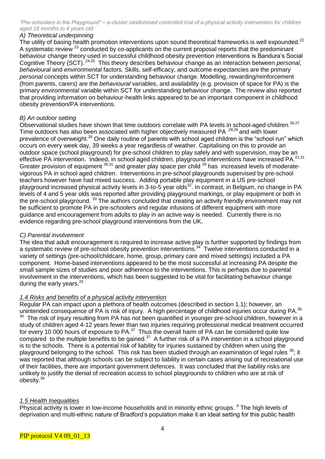# *A) Theoretical underpinning*

The utility of basing health promotion interventions upon sound theoretical frameworks is well expounded.<sup>22</sup> A systematic review <sup>23</sup> conducted by co-applicants on the current proposal reports that the predominant behaviour change theory used in successful childhood obesity prevention interventions is Bandura's Social Cognitive Theory (SCT).<sup>24,25</sup> This theory describes behaviour change as an interaction between *personal*, *behavioural* and *environmental* factors. Skills, self-efficacy, and outcome expectancies are the primary *personal* concepts within SCT for understanding behaviour change. Modelling, rewarding/reinforcement (from parents, carers) are the *behavioural* variables, and availability (e.g. provision of space for PA) is the primary *environmental* variable within SCT for understanding behaviour change. The review also reported that providing information on behaviour-health links appeared to be an important component in childhood obesity prevention/PA interventions.

# *B) An outdoor setting*

Observational studies have shown that time outdoors correlate with PA levels in school-aged children.<sup>26,27</sup> Time outdoors has also been associated with higher objectively measured PA <sup>,28,29</sup> and with lower prevalence of overweight.<sup>28</sup> One daily routine of parents with school aged children is the "school run" which occurs on every week day, 39 weeks a year regardless of weather. Capitalising on this to provide an outdoor space (school playground) for pre-school children to play safely and with supervision, may be an effective PA intervention. Indeed, in school aged children, playground interventions have increased PA.<sup>21,31</sup> Greater provision of equipment 30,31 and greater play space per child <sup>29</sup> has increased levels of moderatevigorous PA in school aged children. Interventions in pre-school playgrounds supervised by pre-school teachers however have had mixed success. Adding portable play equipment in a US pre-school playground increased physical activity levels in 3-to-5 year olds<sup>32</sup>. In contrast, in Belgium, no change in PA levels of 4 and 5 year olds was reported after providing playground markings, or play equipment or both in the pre-school playground. <sup>33</sup> The authors concluded that creating an activity friendly environment may not be sufficient to promote PA in pre-schoolers and regular infusions of different equipment with more guidance and encouragement from adults to play in an active way is needed. Currently there is no evidence regarding pre-school playground interventions from the UK.

# *C) Parental involvement*

The idea that adult encouragement is required to increase active play is further supported by findings from a systematic review of pre-school obesity prevention interventions.<sup>34</sup> Twelve interventions conducted in a variety of settings (pre-school/childcare, home, group, primary care and mixed settings) included a PA component. Home-based interventions appeared to be the most successful at increasing PA despite the small sample sizes of studies and poor adherence to the interventions. This is perhaps due to parental involvement in the interventions, which has been suggested to be vital for facilitating behaviour change during the early years.<sup>23</sup>

# *1.4 Risks and benefits of a physical activity intervention*

Regular PA can impact upon a plethora of health outcomes (described in section 1.1); however, an unintended consequence of PA is risk of injury. A high percentage of childhood injuries occur during PA.<sup>36,</sup> <sup>36</sup> The risk of injury resulting from PA has not been quantified in younger pre-school children, however in a study of children aged 4-12 years fewer than two injuries requiring professional medical treatment occurred for every 10 000 hours of exposure to PA.<sup>37</sup> Thus the overall harm of PA can be considered quite low compared to the multiple benefits to be gained. $37$  A further risk of a PA intervention in a school playground is to the schools. There is a potential risk of liability for injuries sustained by children when using the playground belonging to the school. This risk has been studied through an examination of legal rules <sup>38</sup>; it was reported that although schools can be subject to liability in certain cases arising out of recreational use of their facilities, there are important government defences. It was concluded that the liability risks are unlikely to justify the denial of recreation access to school playgrounds to children who are at risk of obesity. 38

# *1.5 Health Inequalities*

Physical activity is lower in low-income households and in minority ethnic groups. <sup>6</sup> The high levels of deprivation and multi-ethnic nature of Bradford's population make it an ideal setting for this public health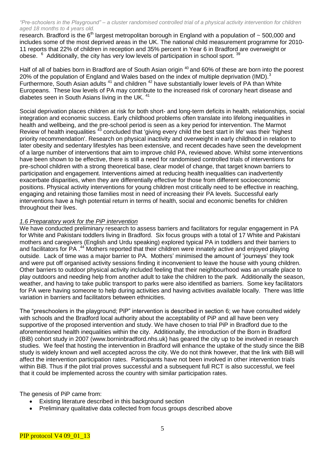research. Bradford is the  $6<sup>th</sup>$  largest metropolitan borough in England with a population of  $\sim$  500,000 and includes some of the most deprived areas in the UK. The national child measurement programme for 2010- 11 reports that 22% of children in reception and 35% percent in Year 6 in Bradford are overweight or obese. <sup>6</sup> Additionally, the city has very low levels of participation in school sport. <sup>39</sup>

Half of all of babies born in Bradford are of South Asian origin <sup>40</sup> and 60% of these are born into the poorest 20% of the population of England and Wales based on the index of multiple deprivation (IMD).<sup>3</sup> Furthermore, South Asian adults<sup>41</sup> and children <sup>42</sup> have substantially lower levels of PA than White Europeans. These low levels of PA may contribute to the increased risk of coronary heart disease and diabetes seen in South Asians living in the UK.<sup>41</sup>

Social deprivation places children at risk for both short- and long-term deficits in health, relationships, social integration and economic success. Early childhood problems often translate into lifelong inequalities in health and wellbeing, and the pre-school period is seen as a key period for intervention. The Marmot Review of health inequalities <sup>43</sup> concluded that 'giving every child the best start in life' was their 'highest priority recommendation'. Research on physical inactivity and overweight in early childhood in relation to later obesity and sedentary lifestyles has been extensive, and recent decades have seen the development of a large number of interventions that aim to improve child PA, reviewed above. Whilst some interventions have been shown to be effective, there is still a need for randomised controlled trials of interventions for pre-school children with a strong theoretical base, clear model of change, that target known barriers to participation and engagement. Interventions aimed at reducing health inequalities can inadvertently exacerbate disparities, when they are differentially effective for those from different socioeconomic positions. Physical activity interventions for young children most critically need to be effective in reaching, engaging and retaining those families most in need of increasing their PA levels. Successful early interventions have a high potential return in terms of health, social and economic benefits for children throughout their lives.

#### *1.6 Preparatory work for the PiP intervention*

We have conducted preliminary research to assess barriers and facilitators for regular engagement in PA for White and Pakistani toddlers living in Bradford. Six focus groups with a total of 17 White and Pakistani mothers and caregivers (English and Urdu speaking) explored typical PA in toddlers and their barriers to and facilitators for PA .<sup>44</sup> Mothers reported that their children were innately active and enjoyed playing outside. Lack of time was a major barrier to PA. Mothers' minimised the amount of 'journeys' they took and were put off organised activity sessions finding it inconvenient to leave the house with young children. Other barriers to outdoor physical activity included feeling that their neighbourhood was an unsafe place to play outdoors and needing help from another adult to take the children to the park. Additionally the season, weather, and having to take public transport to parks were also identified as barriers. Some key facilitators for PA were having someone to help during activities and having activities available locally. There was little variation in barriers and facilitators between ethnicities.

The "preschoolers in the playground; PiP" intervention is described in section 6; we have consulted widely with schools and the Bradford local authority about the acceptability of PiP and all have been very supportive of the proposed intervention and study. We have chosen to trial PiP in Bradford due to the aforementioned health inequalities within the city. Additionally, the introduction of the Born in Bradford (BiB) cohort study in 2007 (www.borninbradford.nhs.uk) has geared the city up to be involved in research studies. We feel that hosting the intervention in Bradford will enhance the uptake of the study since the BiB study is widely known and well accepted across the city. We do not think however, that the link with BiB will affect the intervention participation rates. Participants have not been involved in other intervention trials within BiB. Thus if the pilot trial proves successful and a subsequent full RCT is also successful, we feel that it could be implemented across the country with similar participation rates.

The genesis of PiP came from:

- Existing literature described in this background section
- Preliminary qualitative data collected from focus groups described above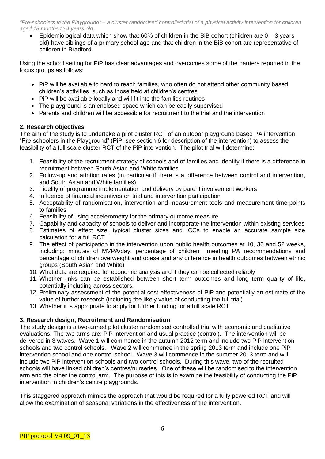Epidemiological data which show that  $60\%$  of children in the BiB cohort (children are  $0 - 3$  years old) have siblings of a primary school age and that children in the BiB cohort are representative of children in Bradford.

Using the school setting for PiP has clear advantages and overcomes some of the barriers reported in the focus groups as follows:

- PiP will be available to hard to reach families, who often do not attend other community based children's activities, such as those held at children's centres
- PiP will be available locally and will fit into the families routines
- The playground is an enclosed space which can be easily supervised
- Parents and children will be accessible for recruitment to the trial and the intervention

#### **2. Research objectives**

The aim of the study is to undertake a pilot cluster RCT of an outdoor playground based PA intervention "Pre-schoolers in the Playground" (PiP; see section 6 for description of the intervention) to assess the feasibility of a full scale cluster RCT of the PiP intervention. The pilot trial will determine:

- 1. Feasibility of the recruitment strategy of schools and of families and identify if there is a difference in recruitment between South Asian and White families
- 2. Follow-up and attrition rates (in particular if there is a difference between control and intervention, and South Asian and White families)
- 3. Fidelity of programme implementation and delivery by parent involvement workers
- 4. Influence of financial incentives on trial and intervention participation
- 5. Acceptability of randomisation, intervention and measurement tools and measurement time-points to families
- 6. Feasibility of using accelerometry for the primary outcome measure
- 7. Capability and capacity of schools to deliver and incorporate the intervention within existing services
- 8. Estimates of effect size, typical cluster sizes and ICCs to enable an accurate sample size calculation for a full RCT
- 9. The effect of participation in the intervention upon public health outcomes at 10, 30 and 52 weeks, including: minutes of MVPA/day, percentage of children meeting PA recommendations and percentage of children overweight and obese and any difference in health outcomes between ethnic groups (South Asian and White)
- 10. What data are required for economic analysis and if they can be collected reliably
- 11. Whether links can be established between short term outcomes and long term quality of life, potentially including across sectors.
- 12. Preliminary assessment of the potential cost-effectiveness of PiP and potentially an estimate of the value of further research (including the likely value of conducting the full trial)
- 13. Whether it is appropriate to apply for further funding for a full scale RCT

# **3. Research design, Recruitment and Randomisation**

The study design is a two-armed pilot cluster randomised controlled trial with economic and qualitative evaluations. The two arms are: PiP intervention and usual practice (control). The intervention will be delivered in 3 waves. Wave 1 will commence in the autumn 2012 term and include two PiP intervention schools and two control schools. Wave 2 will commence in the spring 2013 term and include one PiP intervention school and one control school. Wave 3 will commence in the summer 2013 term and will include two PiP intervention schools and two control schools. During this wave, two of the recruited schools will have linked children's centres/nurseries. One of these will be randomised to the intervention arm and the other the control arm. The purpose of this is to examine the feasibility of conducting the PiP intervention in children's centre playgrounds.

This staggered approach mimics the approach that would be required for a fully powered RCT and will allow the examination of seasonal variations in the effectiveness of the intervention.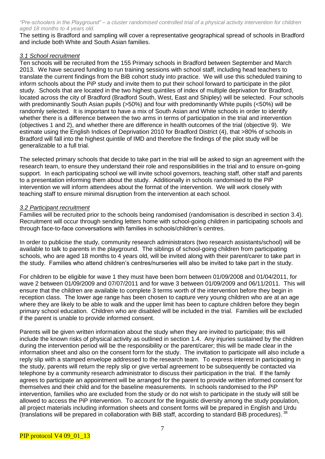The setting is Bradford and sampling will cover a representative geographical spread of schools in Bradford and include both White and South Asian families.

#### *3.1 School recruitment*

Ten schools will be recruited from the 155 Primary schools in Bradford between September and March 2013. We have secured funding to run training sessions with school staff, including head teachers to translate the current findings from the BiB cohort study into practice. We will use this scheduled training to inform schools about the PiP study and invite them to put their school forward to participate in the pilot study. Schools that are located in the two highest quintiles of index of multiple deprivation for Bradford, located across the city of Bradford (Bradford South, West, East and Shipley) will be selected. Four schools with predominantly South Asian pupils (>50%) and four with predominantly White pupils (<50%) will be randomly selected. It is important to have a mix of South Asian and White schools in order to identify whether there is a difference between the two arms in terms of participation in the trial and intervention (objectives 1 and 2), and whether there are difference in health outcomes of the trial (objective 9). We estimate using the English Indices of Deprivation 2010 for Bradford District (4), that >80% of schools in Bradford will fall into the highest quintile of IMD and therefore the findings of the pilot study will be generalizable to a full trial.

The selected primary schools that decide to take part in the trial will be asked to sign an agreement with the research team, to ensure they understand their role and responsibilities in the trial and to ensure on-going support. In each participating school we will invite school governors, teaching staff, other staff and parents to a presentation informing them about the study. Additionally in schools randomised to the PiP intervention we will inform attendees about the format of the intervention. We will work closely with teaching staff to ensure minimal disruption from the intervention at each school.

#### *3.2 Participant recruitment*

Families will be recruited prior to the schools being randomised (randomisation is described in section 3.4). Recruitment will occur through sending letters home with school-going children in participating schools and through face-to-face conversations with families in schools/children's centres.

In order to publicise the study, community research administrators (two research assistants/school) will be available to talk to parents in the playground. The siblings of school-going children from participating schools, who are aged 18 months to 4 years old, will be invited along with their parent/carer to take part in the study. Families who attend children's centres/nurseries will also be invited to take part in the study.

For children to be eligible for wave 1 they must have been born between 01/09/2008 and 01/04/2011, for wave 2 between 01/09/2009 and 07/07/2011 and for wave 3 between 01/09/2009 and 06/11/2011. This will ensure that the children are available to complete 3 terms worth of the intervention before they begin in reception class. The lower age range has been chosen to capture very young children who are at an age where they are likely to be able to walk and the upper limit has been to capture children before they begin primary school education. Children who are disabled will be included in the trial. Families will be excluded if the parent is unable to provide informed consent.

Parents will be given written information about the study when they are invited to participate; this will include the known risks of physical activity as outlined in section 1.4. Any injuries sustained by the children during the intervention period will be the responsibility or the parent/carer; this will be made clear in the information sheet and also on the consent form for the study. The invitation to participate will also include a reply slip with a stamped envelope addressed to the research team. To express interest in participating in the study, parents will return the reply slip or give verbal agreement to be subsequently be contacted via telephone by a community research administrator to discuss their participation in the trial. If the family agrees to participate an appointment will be arranged for the parent to provide written informed consent for themselves and their child and for the baseline measurements. In schools randomised to the PiP intervention, families who are excluded from the study or do not wish to participate in the study will still be allowed to access the PiP intervention. To account for the linguistic diversity among the study population, all project materials including information sheets and consent forms will be prepared in English and Urdu (translations will be prepared in collaboration with BiB staff, according to standard BiB procedures). <sup>38</sup>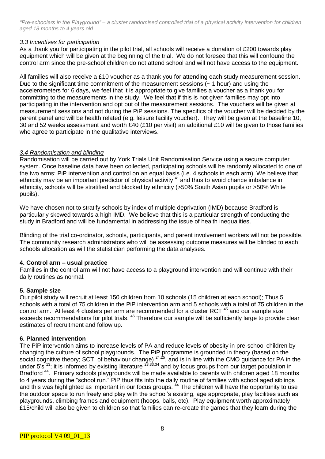#### *3.3 Incentives for participation*

As a thank you for participating in the pilot trial, all schools will receive a donation of £200 towards play equipment which will be given at the beginning of the trial. We do not foresee that this will confound the control arm since the pre-school children do not attend school and will not have access to the equipment.

All families will also receive a £10 voucher as a thank you for attending each study measurement session. Due to the significant time commitment of the measurement sessions  $($   $\sim$  1 hour) and using the accelerometers for 6 days, we feel that it is appropriate to give families a voucher as a thank you for committing to the measurements in the study. We feel that if this is not given families may opt into participating in the intervention and opt out of the measurement sessions. The vouchers will be given at measurement sessions and not during the PiP sessions. The specifics of the voucher will be decided by the parent panel and will be health related (e.g. leisure facility voucher). They will be given at the baseline 10, 30 and 52 weeks assessment and worth £40 (£10 per visit) an additional £10 will be given to those families who agree to participate in the qualitative interviews.

# *3.4 Randomisation and blinding*

Randomisation will be carried out by York Trials Unit Randomisation Service using a secure computer system. Once baseline data have been collected, participating schools will be randomly allocated to one of the two arms: PiP intervention and control on an equal basis (i.e. 4 schools in each arm). We believe that ethnicity may be an important predictor of physical activity <sup>41</sup> and thus to avoid chance imbalance in ethnicity, schools will be stratified and blocked by ethnicity (>50% South Asian pupils or >50% White pupils).

We have chosen not to stratify schools by index of multiple deprivation (IMD) because Bradford is particularly skewed towards a high IMD. We believe that this is a particular strength of conducting the study in Bradford and will be fundamental in addressing the issue of health inequalities.

Blinding of the trial co-ordinator, schools, participants, and parent involvement workers will not be possible. The community research administrators who will be assessing outcome measures will be blinded to each schools allocation as will the statistician performing the data analyses.

# **4. Control arm – usual practice**

Families in the control arm will not have access to a playground intervention and will continue with their daily routines as normal.

# **5. Sample size**

Our pilot study will recruit at least 150 children from 10 schools (15 children at each school); Thus 5 schools with a total of 75 children in the PiP intervention arm and 5 schools with a total of 75 children in the control arm. At least 4 clusters per arm are recommended for a cluster RCT<sup>45</sup> and our sample size exceeds recommendations for pilot trials. <sup>46</sup> Therefore our sample will be sufficiently large to provide clear estimates of recruitment and follow up.

#### **6. Planned intervention**

The PiP intervention aims to increase levels of PA and reduce levels of obesity in pre-school children by changing the culture of school playgrounds. The PiP programme is grounded in theory (based on the social cognitive theory; SCT, of behaviour change) <sup>24,25</sup>, and is in line with the CMO guidance for PA in the under 5's  $^{13}$ ; it is informed by existing literature  $^{23,33,34}$  and by focus groups from our target population in Bradford<sup>44</sup>. Primary schools playgrounds will be made available to parents with children aged 18 months to 4 years during the "school run." PiP thus fits into the daily routine of families with school aged siblings and this was highlighted as important in our focus groups. <sup>44</sup> The children will have the opportunity to use the outdoor space to run freely and play with the school's existing, age appropriate, play facilities such as playgrounds, climbing frames and equipment (hoops, balls, etc). Play equipment worth approximately £15/child will also be given to children so that families can re-create the games that they learn during the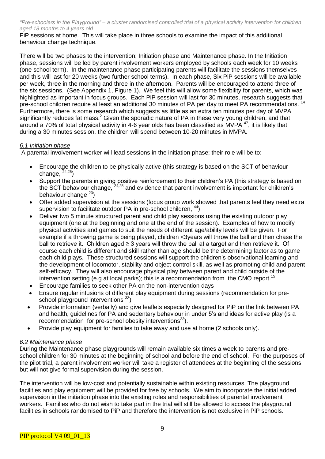PiP sessions at home. This will take place in three schools to examine the impact of this additional behaviour change technique.

There will be two phases to the intervention; Initiation phase and Maintenance phase. In the Initiation phase, sessions will be led by parent involvement workers employed by schools each week for 10 weeks (one school term). In the maintenance phase participating parents will facilitate the sessions themselves and this will last for 20 weeks (two further school terms). In each phase, Six PiP sessions will be available per week, three in the morning and three in the afternoon. Parents will be encouraged to attend three of the six sessions. (See Appendix 1, Figure 1). We feel this will allow some flexibility for parents, which was highlighted as important in focus groups. Each PiP session will last for 30 minutes, research suggests that pre-school children require at least an additional 30 minutes of PA per day to meet PA recommendations.<sup>14</sup> Furthermore, there is some research which suggests as little as an extra ten minutes per day of MVPA significantly reduces fat mass.<sup>2</sup> Given the sporadic nature of PA in these very young children, and that around a  $70\%$  of total physical activity in 4-6 year olds has been classified as MVPA  $47$ , it is likely that during a 30 minutes session, the children will spend between 10-20 minutes in MVPA.

#### *6.1 Initiation phase*

A parental involvement worker will lead sessions in the initiation phase; their role will be to:

- Encourage the children to be physically active (this strategy is based on the SCT of behaviour change,  $24,25$ )
- Support the parents in giving positive reinforcement to their children's PA (this strategy is based on the SCT behaviour change, <sup>24,25</sup> and evidence that parent involvement is important for children's behaviour change <sup>23</sup>)
- Offer added supervision at the sessions (focus group work showed that parents feel they need extra supervision to facilitate outdoor PA in pre-school children,  $44$ )
- Deliver two 5 minute structured parent and child play sessions using the existing outdoor play equipment (one at the beginning and one at the end of the session). Examples of how to modify physical activities and games to suit the needs of different age/ability levels will be given. For example if a throwing game is being played, children <3years will throw the ball and then chase the ball to retrieve it. Children aged ≥ 3 years will throw the ball at a target and then retrieve it. Of course each child is different and skill rather than age should be the determining factor as to game each child plays. These structured sessions will support the children's observational learning and the development of locomotor, stability and object control skill, as well as promoting child and parent self-efficacy. They will also encourage physical play between parent and child outside of the intervention setting (e.g at local parks); this is a recommendation from the CMO report.<sup>15</sup>
- Encourage families to seek other PA on the non-intervention days
- Ensure regular infusions of different play equipment during sessions (recommendation for preschool playground interventions  $33$ )
- Provide information (verbally) and give leaflets especially designed for PiP on the link between PA and health, guidelines for PA and sedentary behaviour in under 5's and ideas for active play (is a recommendation for pre-school obesity interventions<sup>23</sup>).
- Provide play equipment for families to take away and use at home (2 schools only).

#### *6.2 Maintenance phase*

During the Maintenance phase playgrounds will remain available six times a week to parents and preschool children for 30 minutes at the beginning of school and before the end of school. For the purposes of the pilot trial, a parent involvement worker will take a register of attendees at the beginning of the sessions but will not give formal supervision during the session.

The intervention will be low-cost and potentially sustainable within existing resources. The playground facilities and play equipment will be provided for free by schools. We aim to incorporate the initial added supervision in the initiation phase into the existing roles and responsibilities of parental involvement workers. Families who do not wish to take part in the trial will still be allowed to access the playground facilities in schools randomised to PiP and therefore the intervention is not exclusive in PiP schools.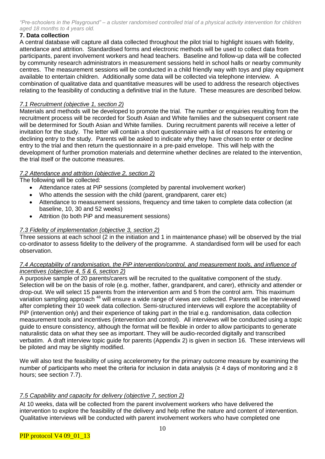# **7. Data collection**

A central database will capture all data collected throughout the pilot trial to highlight issues with fidelity, attendance and attrition. Standardised forms and electronic methods will be used to collect data from participants, parent involvement workers and head teachers. Baseline and follow-up data will be collected by community research administrators in measurement sessions held in school halls or nearby community centres. The measurement sessions will be conducted in a child friendly way with toys and play equipment available to entertain children. Additionally some data will be collected via telephone interview. A combination of qualitative data and quantitative measures will be used to address the research objectives relating to the feasibility of conducting a definitive trial in the future. These measures are described below.

# *7.1 Recruitment (objective 1, section 2)*

Materials and methods will be developed to promote the trial. The number or enquiries resulting from the recruitment process will be recorded for South Asian and White families and the subsequent consent rate will be determined for South Asian and White families. During recruitment parents will receive a letter of invitation for the study. The letter will contain a short questionnaire with a list of reasons for entering or declining entry to the study. Parents will be asked to indicate why they have chosen to enter or decline entry to the trial and then return the questionnaire in a pre-paid envelope. This will help with the development of further promotion materials and determine whether declines are related to the intervention, the trial itself or the outcome measures.

# *7.2 Attendance and attrition (objective 2, section 2)*

The following will be collected:

- Attendance rates at PiP sessions (completed by parental involvement worker)
- Who attends the session with the child (parent, grandparent, carer etc)
- Attendance to measurement sessions, frequency and time taken to complete data collection (at baseline, 10, 30 and 52 weeks)
- Attrition (to both PiP and measurement sessions)

# *7.3 Fidelity of implementation (objective 3, section 2)*

Three sessions at each school (2 in the initiation and 1 in maintenance phase) will be observed by the trial co-ordinator to assess fidelity to the delivery of the programme. A standardised form will be used for each observation.

# *7.4 Acceptability of randomisation, the PiP intervention/control, and measurement tools, and influence of incentives (objective 4, 5 & 6, section 2)*

A purposive sample of 20 parents/carers will be recruited to the qualitative component of the study. Selection will be on the basis of role (e.g. mother, father, grandparent, and carer), ethnicity and attender or drop-out. We will select 15 parents from the intervention arm and 5 from the control arm. This maximum variation sampling approach <sup>48</sup> will ensure a wide range of views are collected. Parents will be interviewed after completing their 10 week data collection. Semi-structured interviews will explore the acceptability of PiP (intervention only) and their experience of taking part in the trial e.g. randomisation, data collection measurement tools and incentives (intervention and control). All interviews will be conducted using a topic guide to ensure consistency, although the format will be flexible in order to allow participants to generate naturalistic data on what they see as important. They will be audio-recorded digitally and transcribed verbatim. A draft interview topic guide for parents (Appendix 2) is given in section 16. These interviews will be piloted and may be slightly modified.

We will also test the feasibility of using accelerometry for the primary outcome measure by examining the number of participants who meet the criteria for inclusion in data analysis (≥ 4 days of monitoring and ≥ 8 hours; see section 7.7).

# *7.5 Capability and capacity for delivery (objective 7, section 2)*

At 10 weeks, data will be collected from the parent involvement workers who have delivered the intervention to explore the feasibility of the delivery and help refine the nature and content of intervention. Qualitative interviews will be conducted with parent involvement workers who have completed one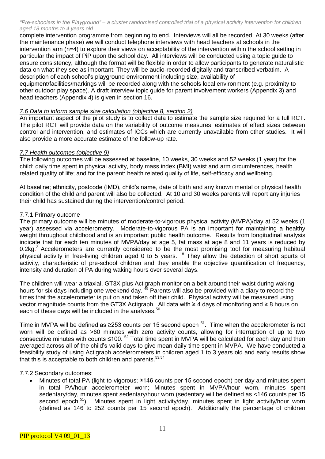complete intervention programme from beginning to end. Interviews will all be recorded. At 30 weeks (after the maintenance phase) we will conduct telephone interviews with head teachers at schools in the intervention arm (n=4) to explore their views on acceptability of the intervention within the school setting in particular the impact of PiP upon the school day. All interviews will be conducted using a topic guide to ensure consistency, although the format will be flexible in order to allow participants to generate naturalistic data on what they see as important. They will be audio-recorded digitally and transcribed verbatim. A description of each school's playground environment including size, availability of

equipment/facilities/markings will be recorded along with the schools local environment (e.g. proximity to other outdoor play space). A draft interview topic guide for parent involvement workers (Appendix 3) and head teachers (Appendix 4) is given in section 16.

#### *7.6 Data to inform sample size calculation (objective 8, section 2)*

An important aspect of the pilot study is to collect data to estimate the sample size required for a full RCT. The pilot RCT will provide data on the variability of outcome measures; estimates of effect sizes between control and intervention, and estimates of ICCs which are currently unavailable from other studies. It will also provide a more accurate estimate of the follow-up rate.

#### *7.7 Health outcomes (objective 9)*

The following outcomes will be assessed at baseline, 10 weeks, 30 weeks and 52 weeks (1 year) for the child: daily time spent in physical activity, body mass index (BMI) waist and arm circumferences, health related quality of life; and for the parent: health related quality of life, self-efficacy and wellbeing.

At baseline; ethnicity, postcode (IMD), child's name, date of birth and any known mental or physical health condition of the child and parent will also be collected. At 10 and 30 weeks parents will report any injuries their child has sustained during the intervention/control period.

#### 7.7.1 Primary outcome

The primary outcome will be minutes of moderate-to-vigorous physical activity (MVPA)/day at 52 weeks (1 year) assessed via accelerometry. Moderate-to-vigorous PA is an important for maintaining a healthy weight throughout childhood and is an important public health outcome. Results from longitudinal analysis indicate that for each ten minutes of MVPA/day at age 5, fat mass at age 8 and 11 years is reduced by 0.2kg.<sup>2</sup> Accelerometers are currently considered to be the most promising tool for measuring habitual physical activity in free-living children aged 0 to 5 years. <sup>18</sup> They allow the detection of short spurts of activity, characteristic of pre-school children and they enable the objective quantification of frequency, intensity and duration of PA during waking hours over several days.

The children will wear a triaxial, GT3X plus Actigraph monitor on a belt around their waist during waking hours for six days including one weekend day.<sup>49</sup> Parents will also be provided with a diary to record the times that the accelerometer is put on and taken off their child. Physical activity will be measured using vector magnitude counts from the GT3X Actigraph. All data with ≥ 4 days of monitoring and ≥ 8 hours on each of these days will be included in the analyses.<sup>50</sup>

Time in MVPA will be defined as ≥253 counts per 15 second epoch  $51$ . Time when the accelerometer is not worn will be defined as >60 minutes with zero activity counts, allowing for interruption of up to two consecutive minutes with counts ≤100.<sup>52</sup> Total time spent in MVPA will be calculated for each day and then averaged across all of the child's valid days to give mean daily time spent in MVPA. We have conducted a feasibility study of using Actigraph accelerometers in children aged 1 to 3 years old and early results show that this is acceptable to both children and parents.<sup>53,54</sup>

#### 7.7.2 Secondary outcomes:

 Minutes of total PA (light-to-vigorous; ≥146 counts per 15 second epoch) per day and minutes spent in total PA/hour accelerometer worn; Minutes spent in MVPA/hour worn, minutes spent sedentary/day, minutes spent sedentary/hour worn (sedentary will be defined as <146 counts per 15 second epoch.<sup>51</sup>). Minutes spent in light activity/day, minutes spent in light activity/hour worn (defined as 146 to 252 counts per 15 second epoch). Additionally the percentage of children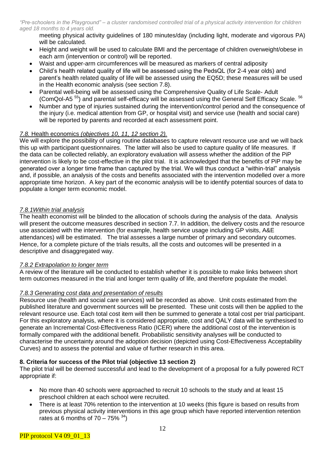meeting physical activity guidelines of 180 minutes/day (including light, moderate and vigorous PA) will be calculated.

- Height and weight will be used to calculate BMI and the percentage of children overweight/obese in each arm (intervention or control) will be reported.
- Waist and upper-arm circumferences will be measured as markers of central adiposity
- Child's health related quality of life will be assessed using the PedsQL (for 2-4 year olds) and parent's health related quality of life will be assessed using the EQ5D; these measures will be used in the Health economic analysis (see section 7.8).
- Parental well-being will be assessed using the Comprehensive Quality of Life Scale- Adult (ComQol-A5<sup>55</sup>) and parental self-efficacy will be assessed using the General Self Efficacy Scale. <sup>56</sup>
- Number and type of injuries sustained during the intervention/control period and the consequence of the injury (i.e. medical attention from GP, or hospital visit) and service use (health and social care) will be reported by parents and recorded at each assessment point.

#### *7.8.* Health economics *(objectives 10, 11, 12 section 2).*

We will explore the possibility of using routine databases to capture relevant resource use and we will back this up with participant questionnaires. The latter will also be used to capture quality of life measures. If the data can be collected reliably, an exploratory evaluation will assess whether the addition of the PiP intervention is likely to be cost-effective in the pilot trial. It is acknowledged that the benefits of PiP may be generated over a longer time frame than captured by the trial. We will thus conduct a "within-trial" analysis and, if possible, an analysis of the costs and benefits associated with the intervention modelled over a more appropriate time horizon. A key part of the economic analysis will be to identify potential sources of data to populate a longer term economic model.

#### *7.8.1Within trial analysis*

The health economist will be blinded to the allocation of schools during the analysis of the data.Analysis will present the outcome measures described in section 7.7. In addition, the delivery costs and the resource use associated with the intervention (for example, health service usage including GP visits, A&E attendances) will be estimated. The trial assesses a large number of primary and secondary outcomes. Hence, for a complete picture of the trials results, all the costs and outcomes will be presented in a descriptive and disaggregated way.

#### *7.8.2 Extrapolation to longer term*

A review of the literature will be conducted to establish whether it is possible to make links between short term outcomes measured in the trial and longer term quality of life, and therefore populate the model.

#### *7.8.3 Generating cost data and presentation of results*

Resource use (health and social care services) will be recorded as above. Unit costs estimated from the published literature and government sources will be presented. These unit costs will then be applied to the relevant resource use. Each total cost item will then be summed to generate a total cost per trial participant. For this exploratory analysis, where it is considered appropriate, cost and QALY data will be synthesised to generate an Incremental Cost-Effectiveness Ratio (ICER) where the additional cost of the intervention is formally compared with the additional benefit. Probabilistic sensitivity analyses will be conducted to characterise the uncertainty around the adoption decision (depicted using Cost-Effectiveness Acceptability Curves) and to assess the potential and value of further research in this area.

#### **8. Criteria for success of the Pilot trial (objective 13 section 2)**

The pilot trial will be deemed successful and lead to the development of a proposal for a fully powered RCT appropriate if:

- No more than 40 schools were approached to recruit 10 schools to the study and at least 15 preschool children at each school were recruited.
- There is at least 70% retention to the intervention at 10 weeks (this figure is based on results from previous physical activity interventions in this age group which have reported intervention retention rates at 6 months of  $70 - 75\%$ <sup>34</sup>)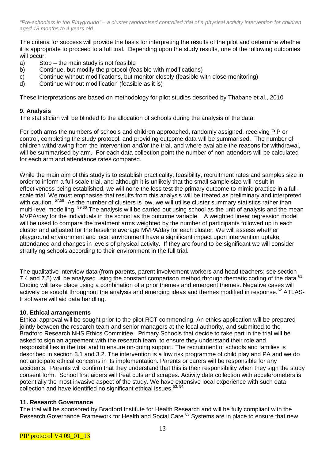The criteria for success will provide the basis for interpreting the results of the pilot and determine whether it is appropriate to proceed to a full trial. Depending upon the study results, one of the following outcomes will occur:

- a) Stop the main study is not feasible
- b) Continue, but modify the protocol (feasible with modifications)
- c) Continue without modifications, but monitor closely (feasible with close monitoring)
- d) Continue without modification (feasible as it is)

These interpretations are based on methodology for pilot studies described by Thabane et al., 2010

#### **9. Analysis**

The statistician will be blinded to the allocation of schools during the analysis of the data.

For both arms the numbers of schools and children approached, randomly assigned, receiving PiP or control, completing the study protocol, and providing outcome data will be summarised. The number of children withdrawing from the intervention and/or the trial, and where available the reasons for withdrawal, will be summarised by arm. For each data collection point the number of non-attenders will be calculated for each arm and attendance rates compared.

While the main aim of this study is to establish practicality, feasibility, recruitment rates and samples size in order to inform a full-scale trial, and although it is unlikely that the small sample size will result in effectiveness being established, we will none the less test the primary outcome to mimic practice in a fullscale trial. We must emphasise that results from this analysis will be treated as preliminary and interpreted with caution. <sup>57,58</sup> As the number of clusters is low, we will utilise cluster summary statistics rather than multi-level modelling. 59,60 The analysis will be carried out using school as the unit of analysis and the mean MVPA/day for the individuals in the school as the outcome variable. A weighted linear regression model will be used to compare the treatment arms weighted by the number of participants followed up in each cluster and adjusted for the baseline average MVPA/day for each cluster. We will assess whether playground environment and local environment have a significant impact upon intervention uptake, attendance and changes in levels of physical activity. If they are found to be significant we will consider stratifying schools according to their environment in the full trial.

The qualitative interview data (from parents, parent involvement workers and head teachers; see section 7.4 and 7.5) will be analysed using the constant comparison method through thematic coding of the data.<sup>61</sup> Coding will take place using a combination of a prior themes and emergent themes. Negative cases will actively be sought throughout the analysis and emerging ideas and themes modified in response.<sup>62</sup> ATLASti software will aid data handling.

#### **10. Ethical arrangements**

Ethical approval will be sought prior to the pilot RCT commencing. An ethics application will be prepared jointly between the research team and senior managers at the local authority, and submitted to the Bradford Research NHS Ethics Committee. Primary Schools that decide to take part in the trial will be asked to sign an agreement with the research team, to ensure they understand their role and responsibilities in the trial and to ensure on-going support. The recruitment of schools and families is described in section 3.1 and 3.2. The intervention is a low risk programme of child play and PA and we do not anticipate ethical concerns in its implementation. Parents or carers will be responsible for any accidents. Parents will confirm that they understand that this is their responsibility when they sign the study consent form. School first aiders will treat cuts and scrapes. Activity data collection with accelerometers is potentially the most invasive aspect of the study. We have extensive local experience with such data collection and have identified no significant ethical issues.<sup>53, 54</sup>

#### **11. Research Governance**

The trial will be sponsored by Bradford Institute for Health Research and will be fully compliant with the Research Governance Framework for Health and Social Care.<sup>63</sup> Systems are in place to ensure that new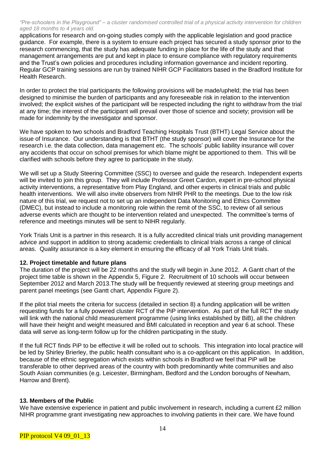applications for research and on-going studies comply with the applicable legislation and good practice guidance. For example, there is a system to ensure each project has secured a study sponsor prior to the research commencing, that the study has adequate funding in place for the life of the study and that management arrangements are put and kept in place to ensure compliance with regulatory requirements and the Trust's own policies and procedures including information governance and incident reporting. Regular GCP training sessions are run by trained NIHR GCP Facilitators based in the Bradford Institute for Health Research.

In order to protect the trial participants the following provisions will be made/upheld; the trial has been designed to minimise the burden of participants and any foreseeable risk in relation to the intervention involved; the explicit wishes of the participant will be respected including the right to withdraw from the trial at any time; the interest of the participant will prevail over those of science and society; provision will be made for indemnity by the investigator and sponsor.

We have spoken to two schools and Bradford Teaching Hospitals Trust (BTHT) Legal Service about the issue of Insurance. Our understanding is that BTHT (the study sponsor) will cover the Insurance for the research i.e. the data collection, data management etc. The schools' public liability insurance will cover any accidents that occur on school premises for which blame might be apportioned to them. This will be clarified with schools before they agree to participate in the study.

We will set up a Study Steering Committee (SSC) to oversee and guide the research. Independent experts will be invited to join this group. They will include Professor Greet Cardon, expert in pre-school physical activity interventions, a representative from Play England, and other experts in clinical trials and public health interventions. We will also invite observers from NIHR PHR to the meetings. Due to the low risk nature of this trial, we request not to set up an independent Data Monitoring and Ethics Committee (DMEC), but instead to include a monitoring role within the remit of the SSC, to review of all serious adverse events which are thought to be intervention related and unexpected. The committee's terms of reference and meetings minutes will be sent to NIHR regularly.

York Trials Unit is a partner in this research. It is a fully accredited clinical trials unit providing management advice and support in addition to strong academic credentials to clinical trials across a range of clinical areas. Quality assurance is a key element in ensuring the efficacy of all York Trials Unit trials.

#### **12. Project timetable and future plans**

The duration of the project will be 22 months and the study will begin in June 2012. A Gantt chart of the project time table is shown in the Appendix 5, Figure 2. Recruitment of 10 schools will occur between September 2012 and March 2013.The study will be frequently reviewed at steering group meetings and parent panel meetings (see Gantt chart, Appendix Figure 2).

If the pilot trial meets the criteria for success (detailed in section 8) a funding application will be written requesting funds for a fully powered cluster RCT of the PiP intervention. As part of the full RCT the study will link with the national child measurement programme (using links established by BiB), all the children will have their height and weight measured and BMI calculated in reception and year 6 at school. These data will serve as long-term follow up for the children participating in the study.

If the full RCT finds PiP to be effective it will be rolled out to schools. This integration into local practice will be led by Shirley Brierley, the public health consultant who is a co-applicant on this application. In addition, because of the ethnic segregation which exists within schools in Bradford we feel that PiP will be transferable to other deprived areas of the country with both predominantly white communities and also South Asian communities (e.g. Leicester, Birmingham, Bedford and the London boroughs of Newham, Harrow and Brent).

#### **13. Members of the Public**

We have extensive experience in patient and public involvement in research, including a current £2 million NIHR programme grant investigating new approaches to involving patients in their care. We have found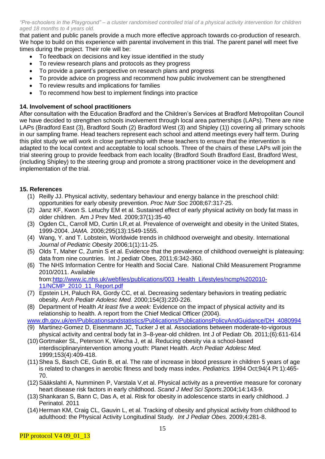that patient and public panels provide a much more effective approach towards co-production of research. We hope to build on this experience with parental involvement in this trial. The parent panel will meet five times during the project. Their role will be:

- To feedback on decisions and key issue identified in the study
- To review research plans and protocols as they progress
- To provide a parent's perspective on research plans and progress
- To provide advice on progress and recommend how public involvement can be strengthened
- To review results and implications for families
- To recommend how best to implement findings into practice

# **14. Involvement of school practitioners**

After consultation with the Education Bradford and the Children's Services at Bradford Metropolitan Council we have decided to strengthen schools involvement through local area partnerships (LAPs). There are nine LAPs (Bradford East (3), Bradford South (2) Bradford West (3) and Shipley (1)) covering all primary schools in our sampling frame. Head teachers represent each school and attend meetings every half term. During this pilot study we will work in close partnership with these teachers to ensure that the intervention is adapted to the local context and acceptable to local schools. Three of the chairs of these LAPs will join the trial steering group to provide feedback from each locality (Bradford South Bradford East, Bradford West, (including Shipley) to the steering group and promote a strong practitioner voice in the development and implementation of the trial.

# **15. References**

- (1) Reilly JJ. Physical activity, sedentary behaviour and energy balance in the preschool child: opportunities for early obesity prevention. *Proc Nutr Soc* 2008;67:317-25.
- (2) Janz KF, Kwon S. Letuchy EM et al. Sustained effect of early physical activity on body fat mass in older children. Am J Prev Med. 2009;37(1):35-40
- (3) Ogden CL, Carroll MD, Curtin LR,et al. Prevalence of overweight and obesity in the United States, 1999-2004. *JAMA.* 2006;295(13):1549-1555.
- (4) Wang, Y. and T. Lobstein, Worldwide trends in childhood overweight and obesity. International *Journal of Pediatric Obesity* 2006;1(1):11-25.
- (5) Olds T, Maher C, Zumin S et al. Evidence that the prevalence of childhood overweight is plateauing: data from nine countries. Int J pediatr Obes, 2011;6:342-360.
- (6) The NHS Information Centre for Health and Social Care. National Child Measurement Programme 2010/2011. Available from:http://www.ic.nhs.uk/webfiles/publications/003\_Health\_Lifestyles/ncmp%202010-

11/NCMP\_2010\_11\_Report.pdf

- (7) Epstein LH, Paluch RA, Gordy CC, et al. Decreasing sedentary behaviors in treating pediatric obesity. *Arch Pediatr Adolesc Med.* 2000;154(3):220-226.
- (8) Department of Health *At least five a week:* Evidence on the impact of physical activity and its relationship to health. A report from the Chief Medical Officer (2004).

www.dh.gov.uk/en/Publicationsandstatistics/Publications/PublicationsPolicyAndGuidance/DH\_4080994

- (9) Martinez-Gomez D, Eisenmann JC, Tucker J et al. Associations between moderate-to-vigorous physical activity and central body fat in 3–8-year-old children. Int J of Pediatr Ob. 2011;(6):611-614
- (10)Gortmaker SL, Peterson K, Wiecha J, et al. Reducing obesity via a school-based interdisciplinaryintervention among youth: Planet Health. *Arch Pediatr Adolesc Med.* 1999;153(4):409-418.
- (11)Shea S, Basch CE, Gutin B, et al. The rate of increase in blood pressure in children 5 years of age is related to changes in aerobic fitness and body mass index. *Pediatrics.* 1994 Oct;94(4 Pt 1):465- 70.
- (12[\)Sääkslahti A,](http://www.ncbi.nlm.nih.gov/pubmed?term=%22S%C3%A4%C3%A4kslahti%20A%22%5BAuthor%5D) [Numminen P,](http://www.ncbi.nlm.nih.gov/pubmed?term=%22Numminen%20P%22%5BAuthor%5D) [Varstala V,](http://www.ncbi.nlm.nih.gov/pubmed?term=%22Varstala%20V%22%5BAuthor%5D)et al. Physical activity as a preventive measure for coronary heart disease risk factors in early childhood. *[Scand J Med Sci Sports](http://www.ncbi.nlm.nih.gov/pubmed?term=saakslahti%20AND%20physical%20activity)*.2004;14:143-9.
- (13)Shankaran S, Bann C, Das A, et al. Risk for obesity in adolescence starts in early childhood. J Perinatol. 2011
- (14) Herman KM, Craig CL, Gauvin L, et al. Tracking of obesity and physical activity from childhood to adulthood: the Physical Activity Longitudinal Study*. Int J Pediatr Obes.* 2009;4:281-8.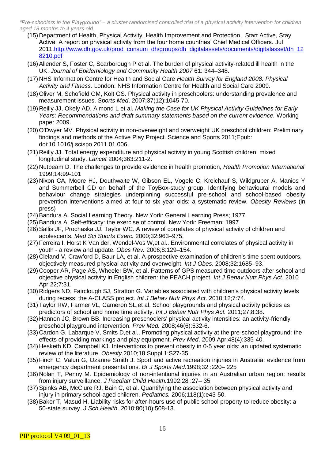- (15) Department of Health, Physical Activity, Health Improvement and Protection. Start Active, Stay Active: A report on physical activity from the four home countries' Chief Medical Officers. Jul 2011[.http://www.dh.gov.uk/prod\\_consum\\_dh/groups/dh\\_digitalassets/documents/digitalasset/dh\\_12](http://www.dh.gov.uk/prod_consum_dh/groups/dh_digitalassets/documents/digitalasset/dh_128210.pdf) [8210.pdf](http://www.dh.gov.uk/prod_consum_dh/groups/dh_digitalassets/documents/digitalasset/dh_128210.pdf)
- (16)Allender S, Foster C, Scarborough P et al. The burden of physical activity-related ill health in the UK. *Journal of Epidemiology and Community Health 2007* 61: 344–348.
- (17) NHS Information Centre for Health and Social Care *Health Survey for England 2008: Physical Activity and Fitness.* London: NHS Information Centre for Health and Social Care 2009.
- (18)Oliver M, Schofield GM, Kolt GS. Physical activity in preschoolers: understanding prevalence and measurement issues. *Sports Med*. 2007;37(12):1045-70.
- (19) Reilly JJ, Okely AD, Almond L et al. *Making the Case for UK Physical Activity Guidelines for Early Years: Recommendations and draft summary statements based on the current evidence.* Working paper 2009.
- (20)O'Dwyer MV. Physical activity in non-overweight and overweight UK preschool children: Preliminary findings and methods of the Active Play Project. Science and Sports 2011;Epub: doi:10.1016/j.scispo.2011.01.006.
- (21) Reilly JJ. Total energy expenditure and physical activity in young Scottish children: mixed longitudinal study. *Lancet* 2004;363:211-2.
- (22) Nutbeam D. The challenges to provide evidence in health promotion, *Health Promotion International* 1999;14:99-101
- (23) Nixon CA, Moore HJ, Douthwaite W, Gibson EL, Vogele C, Kreichauf S, Wildgruber A, Manios Y and Summerbell CD on behalf of the ToyBox-study group. Identifying behavioural models and behaviour change strategies underpinning successful pre-school and school-based obesity prevention interventions aimed at four to six year olds: a systematic review. *Obesity Reviews* (in press)
- (24)Bandura A. Social Learning Theory. New York: General Learning Press; 1977.
- (25)Bandura A. Self-efficacy: the exercise of control. New York: Freeman; 1997.
- (26)Sallis JF, Prochaska JJ, Taylor WC. A review of correlates of physical activity of children and adolescents. *Med Sci Sports Exerc.* 2000;32:963–975.
- (27)Ferreira I, Horst K Van der, Wendel-Vos W,et al.. Environmental correlates of physical activity in youth - a review and update. *Obes Rev.* 2006;8:129–154.
- (28) Cleland V, Crawford D, Baur LA, et al. A prospective examination of children's time spent outdoors, objectively measured physical activity and overweight. *Int J Obes.* 2008;32:1685–93.
- (29) Cooper AR, Page AS, Wheeler BW, et al. Patterns of GPS measured time outdoors after school and objective physical activity in English children: the PEACH project. *Int J Behav Nutr Phys Act*. 2010 Apr 22;7:31.
- (30) [Ridgers ND,](http://www.ncbi.nlm.nih.gov/pubmed?term=%22Ridgers%20ND%22%5BAuthor%5D) Fairclough SJ, [Stratton G.](http://www.ncbi.nlm.nih.gov/pubmed?term=%22Stratton%20G%22%5BAuthor%5D) Variables associated with children's physical activity levels during recess: the A-CLASS project. *[Int J Behav Nutr Phys Act](http://www.ncbi.nlm.nih.gov/pubmed/20937142)*. 2010;12;7:74.
- (31)Taylor RW, Farmer VL, Cameron SL,et al. School playgrounds [and physical activity](http://www.ncbi.nlm.nih.gov/pubmed/21521530) policies as predictors of school [and home time activity.](http://www.ncbi.nlm.nih.gov/pubmed/21521530) *Int J Behav Nutr Phys Act.* 2011;27;8:38.
- (32) Hannon JC, Brown BB. Increasing preschoolers' physical activity intensities: an activity-friendly preschool playground intervention. *Prev Med.* 2008;46(6):532-6.
- (33) [Cardon](http://www.ncbi.nlm.nih.gov/pubmed?term=%22Cardon%20G%22%5BAuthor%5D) G, [Labarque V,](http://www.ncbi.nlm.nih.gov/pubmed?term=%22Labarque%20V%22%5BAuthor%5D) [Smits D,](http://www.ncbi.nlm.nih.gov/pubmed?term=%22Smits%20D%22%5BAuthor%5D)et al.. Promoting physical activity at the pre-school playground: the effects of providing markings and play equipment. *[Prev Med](http://www.ncbi.nlm.nih.gov/pubmed/19236894)*. 2009 Apr;48(4):335-40.
- (34) [Hesketh](http://www.ncbi.nlm.nih.gov/pubmed?term=%22Hesketh%20KD%22%5BAuthor%5D) KD, [Campbell](http://www.ncbi.nlm.nih.gov/pubmed?term=%22Campbell%20KJ%22%5BAuthor%5D) KJ. Interventions to prevent obesity in 0-5 year olds: an updated systematic review of the literature. *[Obesity](http://www.ncbi.nlm.nih.gov/pubmed/20107458)*.2010;18 Suppl 1:S27-35.
- (35)Finch C, Valuri G, Ozanne Smith J. Sport and active recreation injuries in Australia: evidence from emergency department presentations. *Br J Sports Med*.1998;32 :220– 225
- (36) Nolan T, Penny M. Epidemiology of non-intentional injuries in an Australian urban region: results from injury surveillance. *J Paediatr Child Health.*1992;28 :27– 35
- (37[\)Spinks](http://www.ncbi.nlm.nih.gov/pubmed?term=%22Spinks%20AB%22%5BAuthor%5D) AB, [McClure RJ,](http://www.ncbi.nlm.nih.gov/pubmed?term=%22McClure%20RJ%22%5BAuthor%5D) [Bain C,](http://www.ncbi.nlm.nih.gov/pubmed?term=%22Bain%20C%22%5BAuthor%5D) et al. Quantifying the association between physical activity and injury in primary school-aged children. *[Pediatrics.](http://www.ncbi.nlm.nih.gov/pubmed/16818536)* 2006;118(1):e43-50.
- (38[\)Baker](http://www.ncbi.nlm.nih.gov/pubmed?term=%22Baker%20T%22%5BAuthor%5D) T, [Masud H.](http://www.ncbi.nlm.nih.gov/pubmed?term=%22Masud%20H%22%5BAuthor%5D) Liability risks for after-hours use of public school property to reduce obesity: a 50-state survey. *[J Sch Health](http://www.ncbi.nlm.nih.gov/pubmed?term=Baker%20AND%20liability%20risk%20for%20after%20hours%20use%20of%20public%20school)*. 2010;80(10):508-13.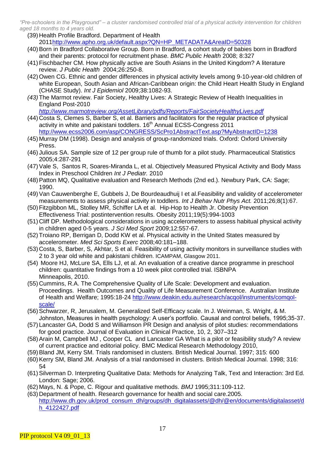- (39) Health Profile Bradford. Department of Health 201[1http://www.apho.org.uk/default.aspx?QN=HP\\_METADATA&AreaID=50328](http://www.apho.org.uk/default.aspx?QN=HP_METADATA&AreaID=50328)
- (40)Born in Bradford Collaborative Group. Born in Bradford, a cohort study of babies born in Bradford and their parents: protocol for recruitment phase. *BMC Public Health* 2008; 8:327
- (41)Fischbacher CM. How physically active are South Asians in the United Kingdom? A literature review. *J Public Health* 2004;26:250-8.
- (42)Owen CG. Ethnic and gender differences in physical activity levels among 9-10-year-old children of white European, South Asian and African-Caribbean origin: the Child Heart Health Study in England (CHASE Study). *Int J Epidemiol* 2009;38:1082-93.
- *(43)*The Marmot review. Fair Society, Healthy Lives: A Strategic Review of Health Inequalities in England Post-2010

*http://www.marmotreview.org/AssetLibrary/pdfs/Reports/FairSocietyHealthyLives.pdf*

- (44) Costa S, Clemes S, Barber S, et al. Barriers and facilitators for the regular practice of physical activity in white and pakistani toddlers. 16<sup>th</sup> Annual ECSS-Congress 2011 <http://www.ecss2006.com/asp/CONGRESS/ScPro1AbstractText.asp?MyAbstractID=1238>
- (45) Murray DM (1998). Design and analysis of group-randomized trials. Oxford: Oxford University Press.
- (46) Julious SA. Sample size of 12 per group rule of thumb for a pilot study. Pharmaceutical Statistics 2005;4:287-291
- (47)Vale S, Santos R, Soares-Miranda L, et al. Objectively Measured Physical Activity and Body Mass Index in Preschool Children *Int J Pediatr.* 2010
- (48)Patton MQ, Qualitative evaluation and Research Methods (2nd ed.). Newbury Park, CA: Sage; 1990.
- (49[\)Van Cauwenberghe](http://www.ncbi.nlm.nih.gov/pubmed?term=%22Van%20Cauwenberghe%20E%22%5BAuthor%5D) E, [Gubbels J,](http://www.ncbi.nlm.nih.gov/pubmed?term=%22Gubbels%20J%22%5BAuthor%5D) [De Bourdeaudhuij I](http://www.ncbi.nlm.nih.gov/pubmed?term=%22De%20Bourdeaudhuij%20I%22%5BAuthor%5D) et al.Feasibility and validity of accelerometer measurements to assess physical activity in toddlers. *[Int J Behav Nutr Phys Act.](http://www.ncbi.nlm.nih.gov/pubmed?term=cauwenberghe%20AND%20toddlers)* 2011;26;8(1):67.
- (50)Fitzgibbon ML, [Stolley MR,](http://www.ncbi.nlm.nih.gov/pubmed?term=%22Stolley%20MR%22%5BAuthor%5D) [Schiffer LA](http://www.ncbi.nlm.nih.gov/pubmed?term=%22Schiffer%20LA%22%5BAuthor%5D) et al. Hip-Hop to Health Jr. Obesity Prevention Effectiveness Trial: postintervention results. Obesity 2011;19(5):994-1003
- (51) Cliff DP. Methodological considerations in using accelerometers to assess habitual physical activity in children aged 0-5 years. *J Sci Med Sport* 2009;12:557-67.
- (52)Troiano RP, Berrigan D, Dodd KW et al. Physical activity in the United States measured by accelerometer. *Med Sci Sports Exerc* 2008;40:181–188.
- (53) Costa, S, Barber, S, Akhtar, S et al. Feasibility of using activity monitors in surveillance studies with 2 to 3 year old white and pakistani children. ICAMPAM, Glasgow 2011.
- (54) Moore HJ, McLure SA, Ells LJ, et al. An evaluation of a creative dance programme in preschool children: quantitative findings from a 10 week pilot controlled trial. ISBNPA Minneapolis, 2010.
- (55) Cummins, R.A. The Comprehensive Quality of Life Scale: Development and evaluation. Proceedings. Health Outcomes and Quality of Life Measurement Conference. Australian Institute of Health and Welfare; 1995:18-24 http://www.deakin.edu.au/research/acqol/instruments/comqolscale/
- (56) Schwarzer, R, Jerusalem, M. Generalized Self-Efficacy scale. In J. Weinman, S. Wright, & M. Johnston, Measures in health psychology: A user's portfolio. Causal and control beliefs, 1995;35-37.
- (57) Lancaster GA, Dodd S and Williamson PR Design and analysis of pilot studies: recommendations for good practice. Journal of Evaluation in Clinical Practice, 10, 2, 307–312
- (58)Arain M, Campbell MJ , Cooper CL and Lancaster GA What is a pilot or feasibility study? A review of current practice and editorial policy. BMC Medical Research Methodology 2010,
- (59)Bland JM, Kerry SM. Trials randomised in clusters. British Medical Journal. 1997; 315: 600
- (60)Kerry SM, Bland JM. Analysis of a trial randomised in clusters. British Medical Journal. 1998; 316: 54
- (61)Silverman D. Interpreting Qualitative Data: Methods for Analyzing Talk, Text and Interaction: 3rd Ed. London: Sage; 2006.
- (62) Mays, N. & Pope, C. Rigour and qualitative methods. *BMJ* 1995;311:109-112.
- (63) Department of health. Research governance for health and social care.2005. http://www.dh.gov.uk/prod\_consum\_dh/groups/dh\_digitalassets/@dh/@en/documents/digitalasset/d h\_4122427.pdf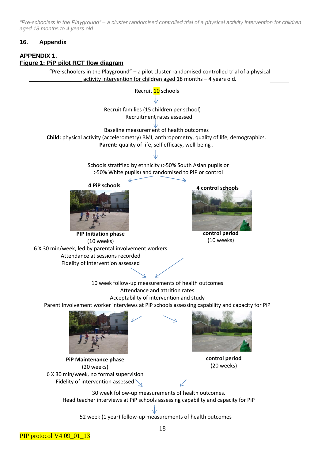# **16. Appendix**

# **APPENDIX 1. Figure 1: PiP pilot RCT flow diagram**

"Pre-schoolers in the Playground" – a pilot cluster randomised controlled trial of a physical activity intervention for children aged 18 months – 4 years old.

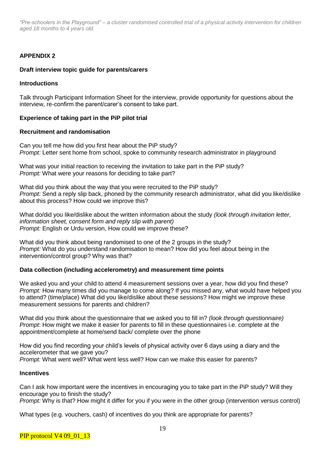# **APPENDIX 2**

#### **Draft interview topic guide for parents/carers**

#### **Introductions**

Talk through Participant Information Sheet for the interview, provide opportunity for questions about the interview, re-confirm the parent/carer's consent to take part.

#### **Experience of taking part in the PiP pilot trial**

#### **Recruitment and randomisation**

Can you tell me how did you first hear about the PiP study? *Prompt:* Letter sent home from school, spoke to community research administrator in playground

What was your initial reaction to receiving the invitation to take part in the PiP study? *Prompt:* What were your reasons for deciding to take part?

What did you think about the way that you were recruited to the PiP study? *Prompt:* Send a reply slip back, phoned by the community research administrator, what did you like/dislike about this process? How could we improve this?

What do/did you like/dislike about the written information about the study *(look through invitation letter, information sheet, consent form and reply slip with parent) Prompt:* English or Urdu version, How could we improve these?

What did you think about being randomised to one of the 2 groups in the study? *Prompt:* What do you understand randomisation to mean? How did you feel about being in the intervention/control group? Why was that?

#### **Data collection (including accelerometry) and measurement time points**

We asked you and your child to attend 4 measurement sessions over a year, how did you find these? *Prompt:* How many times did you manage to come along? If you missed any, what would have helped you to attend? (time/place) What did you like/dislike about these sessions? How might we improve these measurement sessions for parents and children?

What did you think about the questionnaire that we asked you to fill in? *(look through questionnaire) Prompt*: How might we make it easier for parents to fill in these questionnaires i.e. complete at the appointment/complete at home/send back/ complete over the phone

How did you find recording your child's levels of physical activity over 6 days using a diary and the accelerometer that we gave you?

*Prompt:* What went well? What went less well? How can we make this easier for parents?

#### **Incentives**

Can I ask how important were the incentives in encouraging you to take part in the PiP study? Will they encourage you to finish the study?

*Prompt:* Why is that? How might it differ for you if you were in the other group (intervention versus control)

What types (e.g. vouchers, cash) of incentives do you think are appropriate for parents?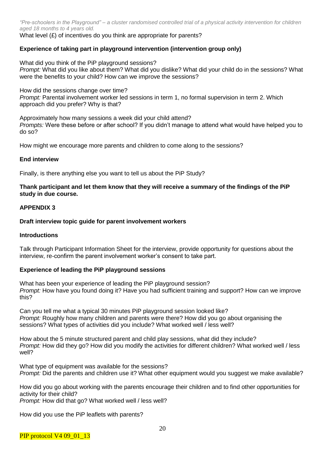What level (£) of incentives do you think are appropriate for parents?

# **Experience of taking part in playground intervention (intervention group only)**

What did you think of the PiP playground sessions? *Prompt:* What did you like about them? What did you dislike? What did your child do in the sessions? What were the benefits to your child? How can we improve the sessions?

How did the sessions change over time? *Prompt:* Parental involvement worker led sessions in term 1, no formal supervision in term 2. Which approach did you prefer? Why is that?

Approximately how many sessions a week did your child attend? *Prompts:* Were these before or after school? If you didn't manage to attend what would have helped you to do so?

How might we encourage more parents and children to come along to the sessions?

#### **End interview**

Finally, is there anything else you want to tell us about the PiP Study?

#### **Thank participant and let them know that they will receive a summary of the findings of the PiP study in due course.**

#### **APPENDIX 3**

#### **Draft interview topic guide for parent involvement workers**

#### **Introductions**

Talk through Participant Information Sheet for the interview, provide opportunity for questions about the interview, re-confirm the parent involvement worker's consent to take part.

#### **Experience of leading the PiP playground sessions**

What has been your experience of leading the PiP playground session? *Prompt:* How have you found doing it? Have you had sufficient training and support? How can we improve this?

Can you tell me what a typical 30 minutes PiP playground session looked like? *Prompt:* Roughly how many children and parents were there? How did you go about organising the sessions? What types of activities did you include? What worked well / less well?

How about the 5 minute structured parent and child play sessions, what did they include? *Prompt:* How did they go? How did you modify the activities for different children? What worked well / less well?

What type of equipment was available for the sessions? *Prompt:* Did the parents and children use it? What other equipment would you suggest we make available?

How did you go about working with the parents encourage their children and to find other opportunities for activity for their child?

*Prompt:* How did that go? What worked well / less well?

How did you use the PiP leaflets with parents?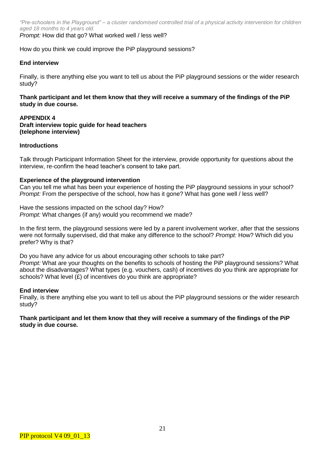*Prompt:* How did that go? What worked well / less well?

How do you think we could improve the PiP playground sessions?

#### **End interview**

Finally, is there anything else you want to tell us about the PiP playground sessions or the wider research study?

**Thank participant and let them know that they will receive a summary of the findings of the PiP study in due course.**

#### **APPENDIX 4 Draft interview topic guide for head teachers (telephone interview)**

#### **Introductions**

Talk through Participant Information Sheet for the interview, provide opportunity for questions about the interview, re-confirm the head teacher's consent to take part.

#### **Experience of the playground intervention**

Can you tell me what has been your experience of hosting the PiP playground sessions in your school? *Prompt:* From the perspective of the school, how has it gone? What has gone well / less well?

Have the sessions impacted on the school day? How? *Prompt:* What changes (if any) would you recommend we made?

In the first term, the playground sessions were led by a parent involvement worker, after that the sessions were not formally supervised, did that make any difference to the school? *Prompt:* How? Which did you prefer? Why is that?

Do you have any advice for us about encouraging other schools to take part? *Prompt:* What are your thoughts on the benefits to schools of hosting the PiP playground sessions? What about the disadvantages? What types (e.g. vouchers, cash) of incentives do you think are appropriate for schools? What level  $(E)$  of incentives do you think are appropriate?

#### **End interview**

Finally, is there anything else you want to tell us about the PiP playground sessions or the wider research study?

#### **Thank participant and let them know that they will receive a summary of the findings of the PiP study in due course.**